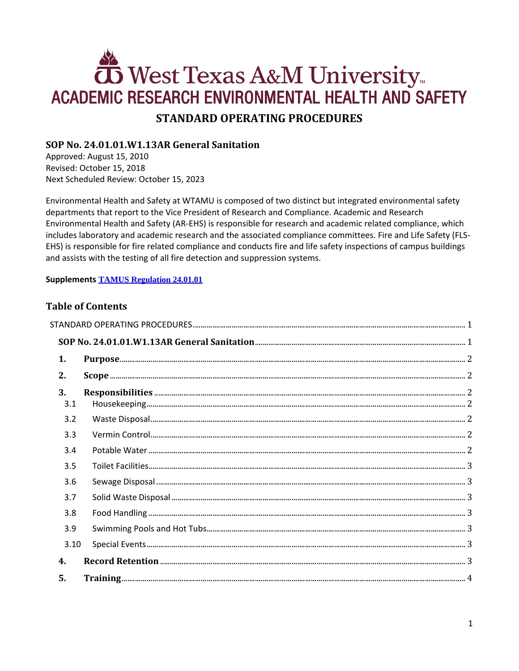# West Texas A&M University **ACADEMIC RESEARCH ENVIRONMENTAL HEALTH AND SAFETY STANDARD OPERATING PROCEDURES**

# <span id="page-0-1"></span><span id="page-0-0"></span>SOP No. 24.01.01.W1.13AR General Sanitation

Approved: August 15, 2010 Revised: October 15, 2018 Next Scheduled Review: October 15, 2023

Environmental Health and Safety at WTAMU is composed of two distinct but integrated environmental safety departments that report to the Vice President of Research and Compliance. Academic and Research Environmental Health and Safety (AR-EHS) is responsible for research and academic related compliance, which includes laboratory and academic research and the associated compliance committees. Fire and Life Safety (FLS-EHS) is responsible for fire related compliance and conducts fire and life safety inspections of campus buildings and assists with the testing of all fire detection and suppression systems.

## **Supplements TAMUS Regulation 24.01.01**

# **Table of Contents**

| 1.   |  |
|------|--|
| 2.   |  |
| 3.   |  |
| 3.1  |  |
| 3.2  |  |
| 3.3  |  |
| 3.4  |  |
| 3.5  |  |
| 3.6  |  |
| 3.7  |  |
| 3.8  |  |
| 3.9  |  |
| 3.10 |  |
| 4.   |  |
| 5.   |  |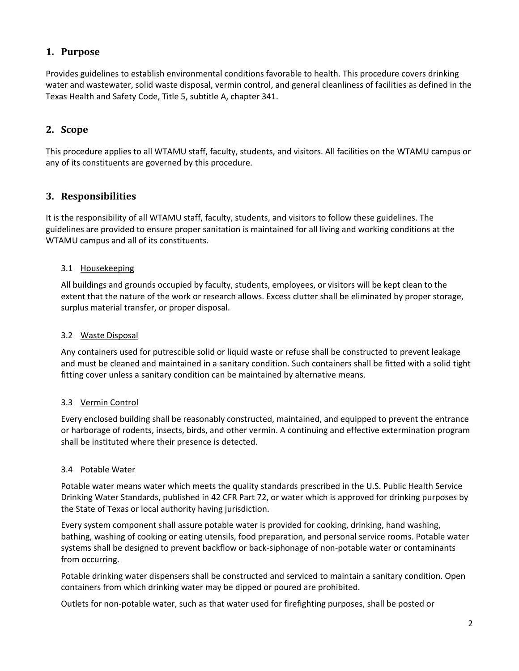# <span id="page-1-0"></span>**1. Purpose**

Provides guidelines to establish environmental conditions favorable to health. This procedure covers drinking water and wastewater, solid waste disposal, vermin control, and general cleanliness of facilities as defined in the Texas Health and Safety Code, Title 5, subtitle A, chapter 341.

# <span id="page-1-1"></span>**2. Scope**

This procedure applies to all WTAMU staff, faculty, students, and visitors. All facilities on the WTAMU campus or any of its constituents are governed by this procedure.

# <span id="page-1-2"></span>**3. Responsibilities**

It is the responsibility of all WTAMU staff, faculty, students, and visitors to follow these guidelines. The guidelines are provided to ensure proper sanitation is maintained for all living and working conditions at the WTAMU campus and all of its constituents.

## <span id="page-1-3"></span>3.1 Housekeeping

All buildings and grounds occupied by faculty, students, employees, or visitors will be kept clean to the extent that the nature of the work or research allows. Excess clutter shall be eliminated by proper storage, surplus material transfer, or proper disposal.

## <span id="page-1-4"></span>3.2 Waste Disposal

Any containers used for putrescible solid or liquid waste or refuse shall be constructed to prevent leakage and must be cleaned and maintained in a sanitary condition. Such containers shall be fitted with a solid tight fitting cover unless a sanitary condition can be maintained by alternative means.

## <span id="page-1-5"></span>3.3 Vermin Control

Every enclosed building shall be reasonably constructed, maintained, and equipped to prevent the entrance or harborage of rodents, insects, birds, and other vermin. A continuing and effective extermination program shall be instituted where their presence is detected.

#### <span id="page-1-6"></span>3.4 Potable Water

Potable water means water which meets the quality standards prescribed in the U.S. Public Health Service Drinking Water Standards, published in 42 CFR Part 72, or water which is approved for drinking purposes by the State of Texas or local authority having jurisdiction.

Every system component shall assure potable water is provided for cooking, drinking, hand washing, bathing, washing of cooking or eating utensils, food preparation, and personal service rooms. Potable water systems shall be designed to prevent backflow or back-siphonage of non-potable water or contaminants from occurring.

Potable drinking water dispensers shall be constructed and serviced to maintain a sanitary condition. Open containers from which drinking water may be dipped or poured are prohibited.

Outlets for non-potable water, such as that water used for firefighting purposes, shall be posted or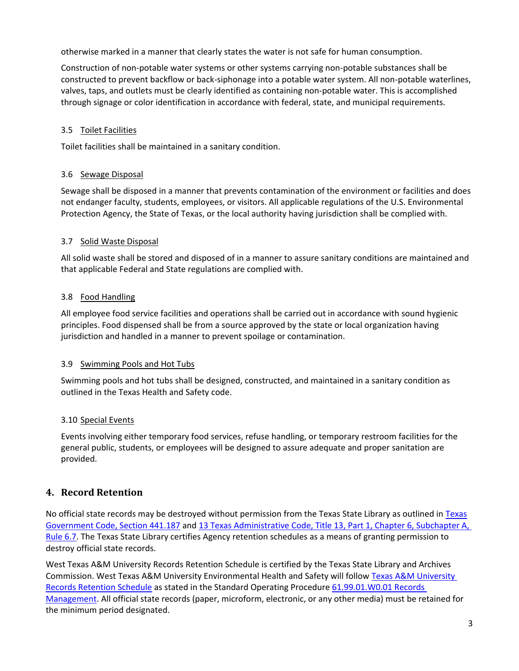otherwise marked in a manner that clearly states the water is not safe for human consumption.

Construction of non-potable water systems or other systems carrying non-potable substances shall be constructed to prevent backflow or back-siphonage into a potable water system. All non-potable waterlines, valves, taps, and outlets must be clearly identified as containing non-potable water. This is accomplished through signage or color identification in accordance with federal, state, and municipal requirements.

### <span id="page-2-0"></span>3.5 Toilet Facilities

Toilet facilities shall be maintained in a sanitary condition.

#### <span id="page-2-1"></span>3.6 Sewage Disposal

Sewage shall be disposed in a manner that prevents contamination of the environment or facilities and does not endanger faculty, students, employees, or visitors. All applicable regulations of the U.S. Environmental Protection Agency, the State of Texas, or the local authority having jurisdiction shall be complied with.

#### <span id="page-2-2"></span>3.7 Solid Waste Disposal

All solid waste shall be stored and disposed of in a manner to assure sanitary conditions are maintained and that applicable Federal and State regulations are complied with.

#### <span id="page-2-3"></span>3.8 Food Handling

All employee food service facilities and operations shall be carried out in accordance with sound hygienic principles. Food dispensed shall be from a source approved by the state or local organization having jurisdiction and handled in a manner to prevent spoilage or contamination.

#### <span id="page-2-4"></span>3.9 Swimming Pools and Hot Tubs

Swimming pools and hot tubs shall be designed, constructed, and maintained in a sanitary condition as outlined in the Texas Health and Safety code.

#### <span id="page-2-5"></span>3.10 Special Events

Events involving either temporary food services, refuse handling, or temporary restroom facilities for the general public, students, or employees will be designed to assure adequate and proper sanitation are provided.

## <span id="page-2-6"></span>**4. Record Retention**

No official state records may be destroyed without permission from the Texas State Library as outlined in [Texas](http://www.statutes.legis.state.tx.us/?link=GV) [Government Code, Section 441.187](http://www.statutes.legis.state.tx.us/?link=GV) an[d 13 Texas Administrative Code, Title 13, Part 1, Chapter 6, Subchapter A,](http://txrules.elaws.us/rule/title13_chapter6_sec.6.7)  [Rule](http://txrules.elaws.us/rule/title13_chapter6_sec.6.7) 6.7. The Texas State Library certifies Agency retention schedules as a means of granting permission to destroy official state records.

West Texas A&M University Records Retention Schedule is certified by the Texas State Library and Archives Commission. West Texas A&M University Environmental Health and Safety will follow [Texas A&M](https://www.wtamu.edu/webres/File/Risk%20Management/System-Records-Retention-Schedule.pdf) University [Records Retention Schedule](https://www.wtamu.edu/webres/File/Risk%20Management/System-Records-Retention-Schedule.pdf) as stated in the Standard Operating Procedure [61.99.01.W0.01 Records](http://www.wtamu.edu/webres/File/Risk%20Management/61.99.01.W0.01_PROCEDURE_Records%20Management_FINAL%20SIGNED.pdf)  [Management.](http://www.wtamu.edu/webres/File/Risk%20Management/61.99.01.W0.01_PROCEDURE_Records%20Management_FINAL%20SIGNED.pdf) All official state records (paper, microform, electronic, or any other media) must be retained for the minimum period designated.